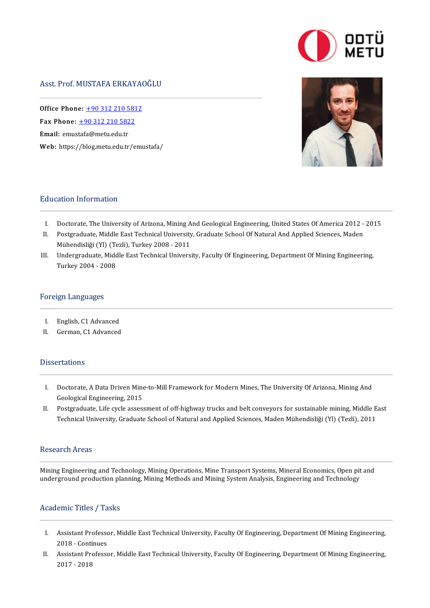# Asst.Prof.MUSTAFAERKAYAOĞLU

Office Phone: [+903122105812](tel:+90 312 210 5812) —<br>Office Phone: <u>+90 312 210 581</u><br>Fax Phone: <u>+90 312 210 5822</u> Fax Phone:  $\pm 903122105822$ <br>Email: emustafa@metu.edu.tr Web: https://blog.metu.edu.tr/emustafa/

### Education Information

- I. Doctorate, The University of Arizona, Mining And Geological Engineering, United States Of America 2012 2015
- I. Doctorate, The University of Arizona, Mining And Geological Engineering, United States Of America 2012 -<br>II. Postgraduate, Middle East Technical University, Graduate School Of Natural And Applied Sciences, Maden<br>Mühandi Doctorate, The University of Arizona, Mining A<br>Postgraduate, Middle East Technical University<br>Mühendisliği (Yl) (Tezli), Turkey 2008 - 2011<br>Undergraduate Middle East Technical Univers II. Postgraduate, Middle East Technical University, Graduate School Of Natural And Applied Sciences, Maden<br>Mühendisliği (Yl) (Tezli), Turkey 2008 - 2011<br>III. Undergraduate, Middle East Technical University, Faculty Of Engi
- Mühendisliği (Yl) (Tezli), Turkey 2008 2011<br>Undergraduate, Middle East Technical University, Faculty Of Engineering, Department Of Mining Engineering,<br>Turkey 2004 2008

#### Foreign Languages

- I. English,C1Advanced
- I. English, C1 Advanced<br>II. German, C1 Advanced II. German, C1 Advanced<br>Dissertations

- Issertations<br>I. Doctorate, A Data Driven Mine-to-Mill Framework for Modern Mines, The University Of Arizona, Mining And<br>Coological Engineering, 2015 Doctorate, A Data Driven Mine<br>Geological Engineering, 2015<br>Bestanaduste Life guele assess I. Doctorate, A Data Driven Mine-to-Mill Framework for Modern Mines, The University Of Arizona, Mining And<br>Geological Engineering, 2015<br>II. Postgraduate, Life cycle assessment of off-highway trucks and belt conveyors for s
- Geological Engineering, 2015<br>Postgraduate, Life cycle assessment of off-highway trucks and belt conveyors for sustainable mining, Middle E<br>Technical University, Graduate School of Natural and Applied Sciences, Maden Mühend Technical University, Graduate School of Natural and Applied Sciences, Maden Mühendisliği (Yl) (Tezli), 2011<br>Research Areas

MiningEngineering andTechnology,MiningOperations,MineTransportSystems,MineralEconomics,Openpitand undergroundproductionplanning,MiningMethods andMining SystemAnalysis,Engineering andTechnology underground production planning, Mining Methods and Mining System Analysis, Engineering and Technology<br>Academic Titles / Tasks

- cademic Titles / Tasks<br>I. Assistant Professor, Middle East Technical University, Faculty Of Engineering, Department Of Mining Engineering,<br>- 2019 Continues Assistant Professo<br>2018 - Continues<br>Assistant Professo 2018 - Continues<br>II. Assistant Professor, Middle East Technical University, Faculty Of Engineering, Department Of Mining Engineering,
- 2017-2018

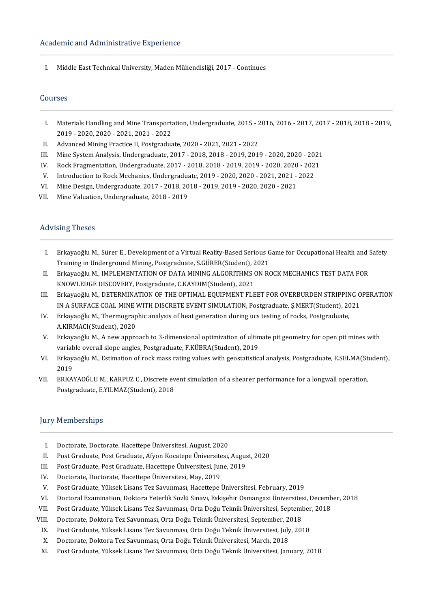I. Middle East Technical University, Maden Mühendisliği, 2017 - Continues

#### Courses

- ourses<br>I. Materials Handling and Mine Transportation, Undergraduate, 2015 2016, 2016 2017, 2017 2018, 2018 2019,<br>2019 2020, 2020, 2021, 2021, 2022 Materials Handling and Mine Transport<br>2019 - 2020, 2020 - 2021, 2021 - 2022<br>Advanced Mining Practice II, Bostaredus I. Materials Handling and Mine Transportation, Undergraduate, 2015 - 2<br>2019 - 2020, 2020 - 2021, 2021 - 2022<br>II. Advanced Mining Practice II, Postgraduate, 2020 - 2021, 2021 - 2022<br>II. Mine System Anglysis Undergraduate, 2 2019 - 2020, 2020 - 2021, 2021 - 2022<br>II. Advanced Mining Practice II, Postgraduate, 2020 - 2021, 2021 - 2022<br>III. Mine System Analysis, Undergraduate, 2017 - 2018, 2018 - 2019, 2019 - 2020, 2020 - 2021<br>IV. Rock Exaggentat
- 
- 
- II. Advanced Mining Practice II, Postgraduate, 2020 2021, 2021 2022<br>III. Mine System Analysis, Undergraduate, 2017 2018, 2018 2019, 2019 2020, 2020 2021<br>IV. Rock Fragmentation, Undergraduate, 2017 2018, 2018 V. Mine System Analysis, Undergraduate, 2017 - 2018, 2018 - 2019, 2019 - 2020, 2020 - 202<br>V. Rock Fragmentation, Undergraduate, 2017 - 2018, 2018 - 2019, 2019 - 2020, 2020 - 202<br>V. Introduction to Rock Mechanics, Undergrad V. Rock Fragmentation, Undergraduate, 2017 - 2018, 2018 - 2019, 2019 - 2020, 2020<br>V. Introduction to Rock Mechanics, Undergraduate, 2019 - 2020, 2020 - 2021, 2021 -<br>VI. Mine Design, Undergraduate, 2017 - 2018, 2018 - 2019,
- V. Introduction to Rock Mechanics, Undergraduate<br>VI. Mine Design, Undergraduate, 2017 2018, 20<br>VII. Mine Valuation, Undergraduate, 2018 2019
- 
- VII. Mine Valuation, Undergraduate, 2018 2019<br>Advising Theses

- I. ErkayaoğluM.,SürerE.,Developmentof aVirtualReality-BasedSeriousGame forOccupationalHealthandSafety Erkayaoğlu M., Sürer E., Development of a Virtual Reality-Based Serious G<br>Training in Underground Mining, Postgraduate, S.GÜRER(Student), 2021<br>Erkavaoğlu M., IMBLEMENTATION OF DATA MINING ALCORITUMS ON BO I. Erkayaoğlu M., Sürer E., Development of a Virtual Reality-Based Serious Game for Occupational Health and S<br>Training in Underground Mining, Postgraduate, S.GÜRER(Student), 2021<br>II. Erkayaoğlu M., IMPLEMENTATION OF DATA M
- Training in Underground Mining, Postgraduate, S.GÜRER(Student), 2021<br>Erkayaoğlu M., IMPLEMENTATION OF DATA MINING ALGORITHMS ON ROCK MECHANICS TEST DATA FOR<br>KNOWLEDGE DISCOVERY, Postgraduate, C.KAYDIM(Student), 2021 II. Erkayaoğlu M., IMPLEMENTATION OF DATA MINING ALGORITHMS ON ROCK MECHANICS TEST DATA FOR<br>KNOWLEDGE DISCOVERY, Postgraduate, C.KAYDIM(Student), 2021<br>III. Erkayaoğlu M., DETERMINATION OF THE OPTIMAL EQUIPMENT FLEET FOR OV
- KNOWLEDGE DISCOVERY, Postgraduate, C.KAYDIM(Student), 2021<br>Erkayaoğlu M., DETERMINATION OF THE OPTIMAL EQUIPMENT FLEET FOR OVERBURDEN STRIPPING O<br>IN A SURFACE COAL MINE WITH DISCRETE EVENT SIMULATION, Postgraduate, Ş.MERT( III. Erkayaoğlu M., DETERMINATION OF THE OPTIMAL EQUIPMENT FLEET FOR OVERBURDEN STRIPPIN<br>IN A SURFACE COAL MINE WITH DISCRETE EVENT SIMULATION, Postgraduate, Ş.MERT(Student), 20<br>IV. Erkayaoğlu M., Thermographic analysis of
- IN A SURFACE COAL MINE WITH DISCRETE EVENT SIMULATION, Postgraduate, Ş.MERT(Student), 2021<br>Erkayaoğlu M., Thermographic analysis of heat generation during ucs testing of rocks, Postgraduate,<br>A.KIRMACI(Student), 2020 V. Erkayaoğlu M., Thermographic analysis of heat generation during ucs testing of rocks, Postgraduate,<br>A.KIRMACI(Student), 2020<br>V. Erkayaoğlu M., A new approach to 3-dimensional optimization of ultimate pit geometry for op
- A.KIRMACI(Student), 2020<br>Erkayaoğlu M., A new approach to 3-dimensional optimization of ultin<br>variable overall slope angles, Postgraduate, F.KÜBRA(Student), 2019<br>Erkavaoğlu M. Estimation of rask mass rating values vith see V. Erkayaoğlu M., A new approach to 3-dimensional optimization of ultimate pit geometry for open pit mines with<br>variable overall slope angles, Postgraduate, F.KÜBRA(Student), 2019<br>VI. Erkayaoğlu M., Estimation of rock mass
- variable overall slope angles, Postgraduate, F.KÜBRA(Student), 2019<br>Erkayaoğlu M., Estimation of rock mass rating values with geostatistical analysis, Postgraduate, E.SELMA(Student),<br>2019 VI. Erkayaoğlu M., Estimation of rock mass rating values with geostatistical analysis, Postgraduate, E.SELMA(St<br>2019<br>VII. ERKAYAOĞLU M., KARPUZ C., Discrete event simulation of a shearer performance for a longwall operatio
- 2019<br>ERKAYAOĞLU M., KARPUZ C., Discrete ev<br>Postgraduate, E.YILMAZ(Student), 2018 Postgraduate, E.YILMAZ(Student), 2018<br>Jury Memberships

- I. Doctorate, Doctorate, Hacettepe Üniversitesi, August, 2020<br>II. Post Graduate, Post Graduate, Afyon Kocatepe Üniversitesi
- I. Doctorate, Doctorate, Hacettepe Üniversitesi, August, 2020<br>II. Post Graduate, Post Graduate, Afyon Kocatepe Üniversitesi, August, 2020<br>II. Pest Graduate, Pest Graduate, Hasettane Üniversitesi, June 2019 I. Doctorate, Doctorate, Hacettepe Üniversitesi, August, 2020<br>II. Post Graduate, Post Graduate, Afyon Kocatepe Üniversitesi, Augus<br>III. Post Graduate, Post Graduate, Hacettepe Üniversitesi, June, 2019
- 
- 
- III. Post Graduate, Post Graduate, Hacettepe Üniversitesi, June, 2019<br>IV. Doctorate, Doctorate, Hacettepe Üniversitesi, May, 2019<br>V. Post Graduate, Yüksek Lisans Tez Savunması, Hacettepe Üniversi II. Post Graduate, Post Graduate, Hacettepe Üniversitesi, June, 2019<br>V. Doctorate, Doctorate, Hacettepe Üniversitesi, May, 2019<br>V. Post Graduate, Yüksek Lisans Tez Savunması, Hacettepe Üniversitesi, February, 2019<br>U. Docto
- IV. Doctorate, Doctorate, Hacettepe Üniversitesi, May, 2019<br>V. Post Graduate, Yüksek Lisans Tez Savunması, Hacettepe Üniversitesi, February, 2019<br>VI. Doctoral Examination, Doktora Yeterlik Sözlü Sınavı, Eskişehir Osmangazi V. Post Graduate, Yüksek Lisans Tez Savunması, Hacettepe Üniversitesi, February, 2019<br>VI. Doctoral Examination, Doktora Yeterlik Sözlü Sınavı, Eskişehir Osmangazi Üniversitesi, Decemb<br>VII. Post Graduate, Yüksek Lisans Tez
- VI. Doctoral Examination, Doktora Yeterlik Sözlü Sınavı, Eskişehir Osmangazi Üniversites<br>VII. Post Graduate, Yüksek Lisans Tez Savunması, Orta Doğu Teknik Üniversitesi, September, 2018<br>VII. Doctorate, Doktora Tez Savunması
- 
- III. Post Graduate, Yüksek Lisans Tez Savunması, Orta Doğu Teknik Üniversitesi, September<br>III. Doctorate, Doktora Tez Savunması, Orta Doğu Teknik Üniversitesi, September, 2018<br>IX. Post Graduate, Yüksek Lisans Tez Savunması VIII. Doctorate, Doktora Tez Savunması, Orta Doğu Teknik Üniversitesi, September, 2018<br>IX. Post Graduate, Yüksek Lisans Tez Savunması, Orta Doğu Teknik Üniversitesi, July, 2018<br>X. Doctorate, Doktora Tez Savunması, Orta Doğ
	-
- Post Graduate, Yüksek Lisans Tez Savunması, Orta Doğu Teknik Üniversitesi, January, 2018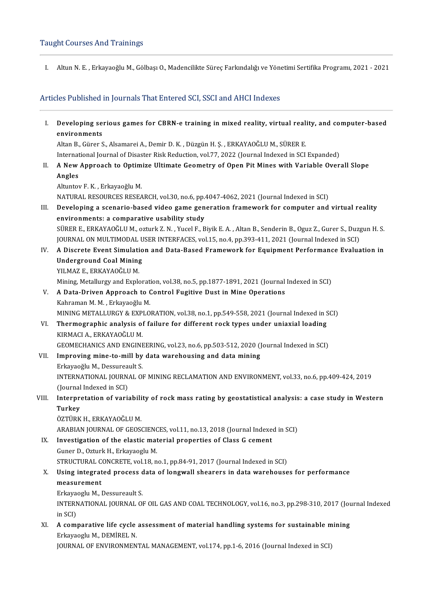I. Altun N.E., Erkayaoğlu M., Gölbaşı O., Madencilikte Süreç Farkındalığı ve Yönetimi Sertifika Programı, 2021 - 2021

# Articles Published in Journals That Entered SCI, SSCI and AHCI Indexes

I. Developing serious games for CBRN-e training inmixed reality, virtual reality, and computer-based **Developing se<br>environments<br>Altan P. Gürer S** environments<br>Altan B., Gürer S., Alsamarei A., Demir D. K. , Düzgün H. Ş. , ERKAYAOĞLU M., SÜRER E. International Journal of Disaster Risk Reduction, vol.77, 2022 (Journal Indexed in SCI Expanded) Altan B., Gürer S., Alsamarei A., Demir D. K. , Düzgün H. Ş. , ERKAYAOĞLU M., SÜRER E.<br>International Journal of Disaster Risk Reduction, vol.77, 2022 (Journal Indexed in SCI Expanded)<br>II. A New Approach to Optimize Ultimat Internat<br>A New<br>Angles A New Approach to Optim<br>Angles<br>Altuntov F. K. , Erkayaoğlu M.<br>NATUPAL PESOURCES PESEA Angles<br>Altuntov F. K. , Erkayaoğlu M.<br>NATURAL RESOURCES RESEARCH, vol.30, no.6, pp.4047-4062, 2021 (Journal Indexed in SCI) Altuntov F. K. , Erkayaoğlu M.<br>NATURAL RESOURCES RESEARCH, vol.30, no.6, pp.4047-4062, 2021 (Journal Indexed in SCI)<br>III. Developing a scenario-based video game generation framework for computer and virtual reality<br>any NATURAL RESOURCES RESEARCH, vol.30, no.6, pp.<br>Developing a scenario-based video game gen<br>environments: a comparative usability study<br>SÜRER E. ERKAVAQČHHM, erturk Z.N., Yugel E. B Developing a scenario-based video game generation framework for computer and virtual reality<br>environments: a comparative usability study<br>SÜRER E., ERKAYAOĞLU M., ozturk Z. N. , Yucel F., Biyik E. A. , Altan B., Senderin B. environments: a comparative usability study<br>SÜRER E., ERKAYAOĞLU M., ozturk Z. N. , Yucel F., Biyik E. A. , Altan B., Senderin B., Oguz Z., Gurer S., Duzg<br>JOURNAL ON MULTIMODAL USER INTERFACES, vol.15, no.4, pp.393-411, 20 SÜRER E., ERKAYAOĞLU M., ozturk Z. N. , Yucel F., Biyik E. A. , Altan B., Senderin B., Oguz Z., Gurer S., Duzgun H. S.<br>JOURNAL ON MULTIMODAL USER INTERFACES, vol.15, no.4, pp.393-411, 2021 (Journal Indexed in SCI)<br>IV. A Di JOURNAL ON MULTIMODAL U<br>A Discrete Event Simulatio<br>Underground Coal Mining<br><sup>VII MAZ E ERKAVAQČI II M</sup> A Discrete Event Simulati<br>Underground Coal Mining<br>YILMAZ E., ERKAYAOĞLU M.<br>Mining Metallurgy and Evnle Underground Coal Mining<br>YILMAZ E., ERKAYAOĞLU M.<br>Mining, Metallurgy and Exploration, vol.38, no.5, pp.1877-1891, 2021 (Journal Indexed in SCI)<br>A Data Driven Annreach to Control Eugitive Dust in Mine Operations YILMAZ E., ERKAYAOĞLU M.<br>Mining, Metallurgy and Exploration, vol.38, no.5, pp.1877-1891, 2021 (Journal<br>V. A Data-Driven Approach to Control Fugitive Dust in Mine Operations<br>Kahraman M. M. , Erkayaoğlu M. Mining, Metallurgy and Explorati<br>**A Data-Driven Approach to (**<br>Kahraman M. M. , Erkayaoğlu M.<br>MINING METALLURGY & EXPLO MINING METALLURGY & EXPLORATION, vol.38, no.1, pp.549-558, 2021 (Journal Indexed in SCI) Kahraman M. M. , Erkayaoğlu M.<br>MINING METALLURGY & EXPLORATION, vol.38, no.1, pp.549-558, 2021 (Journal Indexed in S<br>VI. Thermographic analysis of failure for different rock types under uniaxial loading<br>EUPMACLA ERKAYAOĞLU MINING METALLURGY & EXP<br><mark>Thermographic analysis o</mark>f<br>KIRMACI A., ERKAYAOĞLU M.<br>CEOMECHANICS AND ENCINE Thermographic analysis of failure for different rock types under uniaxial loading<br>KIRMACI A., ERKAYAOĞLU M.<br>GEOMECHANICS AND ENGINEERING, vol.23, no.6, pp.503-512, 2020 (Journal Indexed in SCI)<br>Improving mine to mill by da KIRMACI A., ERKAYAOĞLU M.<br>GEOMECHANICS AND ENGINEERING, vol.23, no.6, pp.503-512, 2020 (<br>VII. Improving mine-to-mill by data warehousing and data mining GEOMECHANICS AND ENGINE<br>I<mark>mproving mine-to-mill by</mark><br>Erkayaoğlu M., Dessureault S.<br>INTERNATIONAL JOURNAL OF INTERNATIONAL JOURNAL OF MINING RECLAMATION AND ENVIRONMENT, vol.33, no.6, pp.409-424, 2019<br>(Journal Indexed in SCI) Erkayaoğlu M., Dessureault S. INTERNATIONAL JOURNAL OF MINING RECLAMATION AND ENVIRONMENT, vol.33, no.6, pp.409-424, 2019<br>(Journal Indexed in SCI)<br>VIII. Interpretation of variability of rock mass rating by geostatistical analysis: a case study in Weste (Journal<br><mark>Interpr</mark>e<br>Turkey<br>Öz<del>r</del>üp*v* Interpretation of variabili<br>Turkey<br>ÖZTÜRK H., ERKAYAOĞLU M.<br>ARABIAN JOUPNAL OF CEOSS Turkey<br>ÖZTÜRK H., ERKAYAOĞLU M.<br>ARABIAN JOURNAL OF GEOSCIENCES, vol.11, no.13, 2018 (Journal Indexed in SCI)<br>Investigation of the elestic material properties of Class C sement ÖZTÜRK H., ERKAYAOĞLU M.<br>ARABIAN JOURNAL OF GEOSCIENCES, vol.11, no.13, 2018 (Journal Indexent<br>IX. Investigation of the elastic material properties of Class G cement<br>Cuper D. Ozturk H. Erkayaoglu M. ARABIAN JOURNAL OF GEOSCIENC<br>Investigation of the elastic mat<br>Guner D., Ozturk H., Erkayaoglu M.<br>STPUCTURAL CONCRETE vol.19 n Investigation of the elastic material properties of Class G cement<br>Guner D., Ozturk H., Erkayaoglu M.<br>STRUCTURAL CONCRETE, vol.18, no.1, pp.84-91, 2017 (Journal Indexed in SCI)<br>Heing integrated progess data of longwall she Guner D., Ozturk H., Erkayaoglu M.<br>STRUCTURAL CONCRETE, vol.18, no.1, pp.84-91, 2017 (Journal Indexed in SCI)<br>X. Using integrated process data of longwall shearers in data warehouses for performance<br>measurement STRUCTURAL C<br>Using integrat<br>measurement<br>Erkavasch: M Using integrated process c<br>measurement<br>Erkayaoglu M., Dessureault S.<br>INTERNATIONAL JOURNAL OF INTERNATIONAL JOURNAL OF OIL GAS AND COAL TECHNOLOGY, vol.16, no.3, pp.298-310, 2017 (Journal Indexed<br>in SCI) Erkaya<br>INTERN<br>in SCI)<br>A somi INTERNATIONAL JOURNAL OF OIL GAS AND COAL TECHNOLOGY, vol.16, no.3, pp.298-310, 2017 (Journ SCI)<br>XI. A comparative life cycle assessment of material handling systems for sustainable mining<br>Existencely M. DEMIREL N in SCI)<br><mark>A comparative life cycle</mark><br>Erkayaoglu M., DEMİREL N.<br>JOUPNAL OE ENVIRONMEN <mark>A comparative life cycle assessment of material handling systems for sustainable m</mark><br>Erkayaoglu M., DEMİREL N.<br>JOURNAL OF ENVIRONMENTAL MANAGEMENT, vol.174, pp.1-6, 2016 (Journal Indexed in SCI)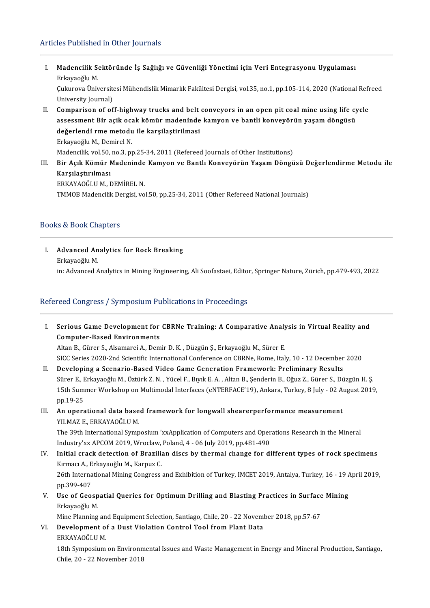### Articles Published in Other Journals

rticles Published in Other Journals<br>I. Madencilik Sektöründe İş Sağlığı ve Güvenliği Yönetimi için Veri Entegrasyonu Uygulaması<br>Frisyosğlu M **Madencilik S<br>Erkayaoğlu M.<br>Gulayaoğlu M.** Madencilik Sektöründe İş Sağlığı ve Güvenliği Yönetimi için Veri Entegrasyonu Uygulaması<br>Erkayaoğlu M.<br>Çukurova Üniversitesi Mühendislik Mimarlık Fakültesi Dergisi, vol.35, no.1, pp.105-114, 2020 (National Refreed Erkayaoğlu M.<br>Çukurova Üniversitesi Mühendislik Mimarlık Fakültesi Dergisi, vol.35, no.1, pp.105-114, 2020 (National Refreed<br>University Journal) II. Comparison of off-highway trucks and belt conveyors in an open pit coal mine using life cycle University Journal)<br>Comparison of off-highway trucks and belt conveyors in an open pit coal mine using life cy<br>assessment Bir açik ocak kömür madeninde kamyon ve bantli konveyörün yaşam döngüsü<br>dežerlendi rme metedu ile ko Comparison of off-highway trucks and belt<br>assessment Bir açik ocak kömür madeninde<br>değerlendi rme metodu ile karşilaştirilmasi<br>Frkavaçğu M. Demirel N assessment Bir açik oca<br>değerlendi rme metodu<br>Erkayaoğlu M., Demirel N.<br>Medensilik vel 50 ne 3 nu de**ğerlendi rme metodu ile karşilaştirilmasi**<br>Erkayaoğlu M., Demirel N.<br>Madencilik, vol.50, no.3, pp.25-34, 2011 (Refereed Journals of Other Institutions)

Erkayaoğlu M., Demirel N.<br>Madencilik, vol.50, no.3, pp.25-34, 2011 (Refereed Journals of Other Institutions)<br>III. Bir Açık Kömür Madeninde Kamyon ve Bantlı Konveyörün Yaşam Döngüsü Değerlendirme Metodu ile<br>Karşılaştırı Madencilik, vol.50,<br>Bir Açık Kömür I<br>Karşılaştırılması<br>EPKAYAQĞLUM T Bir Açık Kömür Madeninde<br>Karşılaştırılması<br>ERKAYAOĞLU M., DEMİREL N.<br>TMMOP Madensilik Dergisi ve Karşılaştırılması<br>ERKAYAOĞLU M., DEMİREL N.<br>TMMOB Madencilik Dergisi, vol.50, pp.25-34, 2011 (Other Refereed National Journals)

### Books&BookChapters

I. Advanced Analytics for Rock Breaking **Malanced Anche**<br>Erkayaoğlu M.<br>in: Advanced A Erkayaoğlu M.<br>in: Advanced Analytics in Mining Engineering, Ali Soofastaei, Editor, Springer Nature, Zürich, pp.479-493, 2022

# Refereed Congress / Symposium Publications in Proceedings

efereed Congress / Symposium Publications in Proceedings<br>I. Serious Game Development for CBRNe Training: A Comparative Analysis in Virtual Reality and<br>Computer Based Environments **Serious Game Development for<br>Computer-Based Environments**<br>Altan B. Güner S. Alcemensi A. Dem Serious Game Development for CBRNe Training: A Comparative Analy<br>Computer-Based Environments<br>Altan B., Gürer S., Alsamarei A., Demir D. K. , Düzgün Ş., Erkayaoğlu M., Sürer E.<br>SICC Series 2020 2nd Scientific International Computer-Based Environments<br>Altan B., Gürer S., Alsamarei A., Demir D. K. , Düzgün Ş., Erkayaoğlu M., Sürer E.<br>SICC Series 2020-2nd Scientific International Conference on CBRNe, Rome, Italy, 10 - 12 December 2020

II. Developing a Scenario-Based Video Game Generation Framework: Preliminary Results SICC Series 2020-2nd Scientific International Conference on CBRNe, Rome, Italy, 10 - 12 December 2020<br>Developing a Scenario-Based Video Game Generation Framework: Preliminary Results<br>Sürer E., Erkayaoğlu M., Öztürk Z. N. , Developing a Scenario-Based Video Game Generation Framework: Preliminary Results<br>Sürer E., Erkayaoğlu M., Öztürk Z. N. , Yücel F., Bıyık E. A. , Altan B., Şenderin B., Oğuz Z., Gürer S., Düzgün H. Ş.<br>15th Summer Workshop o Sürer E., I<br>15th Sum<br>pp.19-25 15th Summer Workshop on Multimodal Interfaces (eNTERFACE'19), Ankara, Turkey, 8 July - 02 A<br>pp.19-25<br>III. An operational data based framework for longwall shearerperformance measurement<br>VII MAZE ERKANAQČI UM

# pp.19-25<br>III. An operational data based framework for longwall shearerperformance measurement<br>YILMAZ E., ERKAYAOĞLU M. An operational data based framework for longwall shearerperformance measurement<br>YILMAZ E., ERKAYAOĞLU M.<br>The 39th International Symposium 'xxApplication of Computers and Operations Research in the Mineral<br>Industry's: ABCOM

YILMAZ E., ERKAYAOĞLU M.<br>The 39th International Symposium 'xxApplication of Computers and Oper<br>Industry'xx APCOM 2019, Wroclaw, Poland, 4 - 06 July 2019, pp.481-490<br>Initial speak detestion of Presilian disss by thermal sha The 39th International Symposium 'xxApplication of Computers and Operations Research in the Mineral<br>Industry'xx APCOM 2019, Wroclaw, Poland, 4 - 06 July 2019, pp.481-490<br>IV. Initial crack detection of Brazilian discs by th

- Industry'xx APCOM 2019, Wroclaw,<br>Initial crack detection of Brazilia<br>Kırmacı A., Erkayaoğlu M., Karpuz C.<br>26th International Mining Congress Initial crack detection of Brazilian discs by thermal change for different types of rock specimens<br>Kırmacı A., Erkayaoğlu M., Karpuz C.<br>26th International Mining Congress and Exhibition of Turkey, IMCET 2019, Antalya, Turk Kırmacı A., Erkayaoğlu M., Karpuz C.<br>26th International Mining Congress and Exhibition of Turkey, IMCET 2019, Antalya, Turkey, 16 - 19 April 2019,<br>pp.399-407 26th International Mining Congress and Exhibition of Turkey, IMCET 2019, Antalya, Turkey, 16 - 19 App. 299-407<br>
V. Use of Geospatial Queries for Optimum Drilling and Blasting Practices in Surface Mining<br>
Exhavageu M
- pp.399-407<br><mark>Use of Geosp</mark><br>Erkayaoğlu M.<br>Mine Planning Use of Geospatial Queries for Optimum Drilling and Blasting Practices in Surface<br>Erkayaoğlu M.<br>Mine Planning and Equipment Selection, Santiago, Chile, 20 - 22 November 2018, pp.57-67<br>Development of a Dust Violation Control

Erkayaoğlu M.<br>Mine Planning and Equipment Selection, Santiago, Chile, 20 - 22 Noveml<br>VI. Development of a Dust Violation Control Tool from Plant Data<br>FRKAYAOĞLUM Mine Planning an<br><mark>Development o</mark>:<br>ERKAYAOĞLU M.<br>19th Sumnosium

Development of a Dust Violation Control Tool from Plant Data<br>ERKAYAOĞLU M.<br>18th Symposium on Environmental Issues and Waste Management in Energy and Mineral Production, Santiago,<br>Chilo 20, 22 November 2018 ERKAYAOĞLU M.<br>18th Symposium on Environn<br>Chile, 20 - 22 November 2018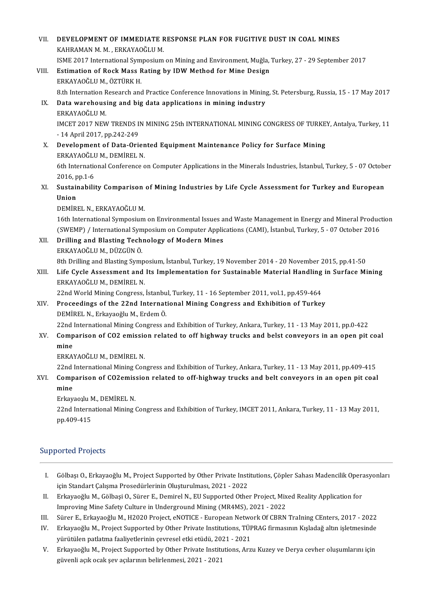| VII.  | DEVELOPMENT OF IMMEDIATE RESPONSE PLAN FOR FUGITIVE DUST IN COAL MINES                                             |
|-------|--------------------------------------------------------------------------------------------------------------------|
|       | KAHRAMAN M. M., ERKAYAOĞLU M.                                                                                      |
|       | ISME 2017 International Symposium on Mining and Environment, Muğla, Turkey, 27 - 29 September 2017                 |
| VIII. | Estimation of Rock Mass Rating by IDW Method for Mine Design                                                       |
|       | ERKAYAOĞLU M., ÖZTÜRK H.                                                                                           |
|       | 8.th Internation Research and Practice Conference Innovations in Mining, St. Petersburg, Russia, 15 - 17 May 2017  |
| IX.   | Data warehousing and big data applications in mining industry                                                      |
|       | ERKAYAOĞLU M.                                                                                                      |
|       | IMCET 2017 NEW TRENDS IN MINING 25th INTERNATIONAL MINING CONGRESS OF TURKEY, Antalya, Turkey, 11                  |
|       | - 14 April 2017, pp 242-249                                                                                        |
| X.    | Development of Data-Oriented Equipment Maintenance Policy for Surface Mining                                       |
|       | ERKAYAOĞLU M., DEMİREL N.                                                                                          |
|       | 6th International Conference on Computer Applications in the Minerals Industries, İstanbul, Turkey, 5 - 07 October |
|       | 2016, pp 1-6                                                                                                       |
| XI.   | Sustainability Comparison of Mining Industries by Life Cycle Assessment for Turkey and European<br>Union           |
|       | DEMİREL N., ERKAYAOĞLU M.                                                                                          |
|       | 16th International Symposium on Environmental Issues and Waste Management in Energy and Mineral Production         |
|       | (SWEMP) / International Symposium on Computer Applications (CAMI), İstanbul, Turkey, 5 - 07 October 2016           |
| XII.  | Drilling and Blasting Technology of Modern Mines                                                                   |
|       | ERKAYAOĞLU M., DÜZGÜN Ö.                                                                                           |
|       | 8th Drilling and Blasting Symposium, İstanbul, Turkey, 19 November 2014 - 20 November 2015, pp.41-50               |
| XIII. | Life Cycle Assessment and Its Implementation for Sustainable Material Handling in Surface Mining                   |
|       | ERKAYAOĞLU M., DEMİREL N.                                                                                          |
|       | 22nd World Mining Congress, İstanbul, Turkey, 11 - 16 September 2011, vol.1, pp.459-464                            |
| XIV.  | Proceedings of the 22nd International Mining Congress and Exhibition of Turkey                                     |
|       | DEMİREL N., Erkayaoğlu M., Erdem Ö.                                                                                |
|       | 22nd International Mining Congress and Exhibition of Turkey, Ankara, Turkey, 11 - 13 May 2011, pp.0-422            |
| XV —  | Comparison of CO2 emission related to off highway trucks and belst conveyors in an open pit coal                   |
|       | mine                                                                                                               |
|       | ERKAYAOĞLU M., DEMİREL N.                                                                                          |
|       | 22nd International Mining Congress and Exhibition of Turkey, Ankara, Turkey, 11 - 13 May 2011, pp.409-415          |
| XVI.  | Comparison of CO2emission related to off-highway trucks and belt conveyors in an open pit coal<br>mine             |
|       | Erkayaoılu M., DEMİREL N.                                                                                          |
|       | 22nd International Mining Congress and Exhibition of Turkey, IMCET 2011, Ankara, Turkey, 11 - 13 May 2011,         |
|       | pp 409-415                                                                                                         |
|       |                                                                                                                    |
|       |                                                                                                                    |

# Supported Projects

- I. Gölbaşı O., Erkayaoğlu M., Project Supported by Other Private Institutions, Çöpler Sahası Madencilik Operasyonları için Standart Çalışma Prosedürlerinin Oluşturulması, 2021 - 2022 I. Gölbaşı O., Erkayaoğlu M., Project Supported by Other Private Institutions, Çöpler Sahası Madencilik Opera<br>için Standart Çalışma Prosedürlerinin Oluşturulması, 2021 - 2022<br>II. Erkayaoğlu M., Gölbaşi O., Sürer E., Demire
- için Standart Çalışma Prosedürlerinin Oluşturulması, 2021 2022<br>Erkayaoğlu M., Gölbaşi O., Sürer E., Demirel N., EU Supported Other Project, Mix<br>Improving Mine Safety Culture in Underground Mining (MR4MS), 2021 2022<br>Sür II. Erkayaoğlu M., Gölbaşi O., Sürer E., Demirel N., EU Supported Other Project, Mixed Reality Application for<br>Improving Mine Safety Culture in Underground Mining (MR4MS), 2021 - 2022<br>III. Sürer E., Erkayaoğlu M., H2020 Pr
- 
- Improving Mine Safety Culture in Underground Mining (MR4MS), 2021 2022<br>III. Sürer E., Erkayaoğlu M., H2020 Project, eNOTICE European Network Of CBRN TraIning CEnters, 2017 2022<br>IV. Erkayaoğlu M., Project Supported by Sürer E., Erkayaoğlu M., H2020 Project, eNOTICE - European Netwo<br>Erkayaoğlu M., Project Supported by Other Private Institutions, TÜP<br>yürütülen patlatma faaliyetlerinin çevresel etki etüdü, 2021 - 2021<br>Erkayaoğlu M. Project V. Erkayaoğlu M., Project Supported by Other Private Institutions, TÜPRAG firmasının Kışladağ altın işletmesinde<br>1921-yürütülen patlatma faaliyetlerinin çevresel etki etüdü, 2021 - 2021<br>1921-Y. Erkayaoğlu M., Project Suppo
- yürütülen patlatma faaliyetlerinin çevresel etki etüdü, 2021 2021<br>Erkayaoğlu M., Project Supported by Other Private Institutions, Arzu Kuzey ve Derya cevher oluşumlarını için<br>güvenli açık ocak şev açılarının belirlenmesi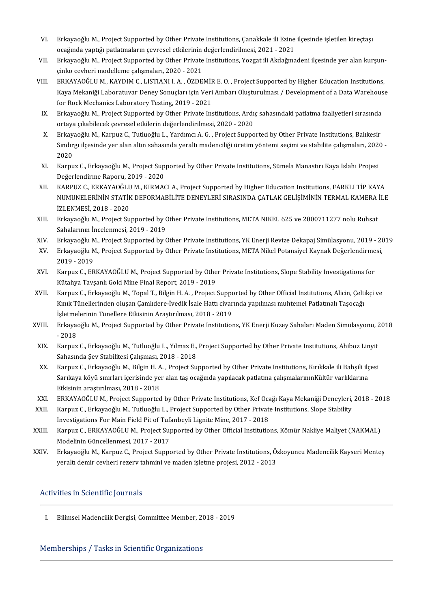- VI. Erkayaoğlu M., Project Supported by Other Private Institutions, Çanakkale ili Ezine ilçesinde işletilen kireçtaşı<br>Saağında yantığı patletmelerin seyresel etkilerinin değerlendirilmesi, 2021, 2021 Erkayaoğlu M., Project Supported by Other Private Institutions, Çanakkale ili Ezine<br>ocağında yaptığı patlatmaların çevresel etkilerinin değerlendirilmesi, 2021 - 2021<br>Erkavaoğlu M. Projest Supported by Other Private Instit VI. Erkayaoğlu M., Project Supported by Other Private Institutions, Çanakkale ili Ezine ilçesinde işletilen kireçtaşı<br>ocağında yaptığı patlatmaların çevresel etkilerinin değerlendirilmesi, 2021 - 2021<br>VII. Erkayaoğlu M., P
- ocağında yaptığı patlatmaların çevresel etkilerinin değerlendirilmesi, 2021 2021<br>Erkayaoğlu M., Project Supported by Other Private Institutions, Yozgat ili Akdağma<br>çinko cevheri modelleme çalışmaları, 2020 2021 VII. Erkayaoğlu M., Project Supported by Other Private Institutions, Yozgat ili Akdağmadeni ilçesinde yer alan kurşunçinko cevheri modelleme çalışmaları, 2020 - 2021<br>VIII. ERKAYAOĞLU M., KAYDIM C., LISTIANI I. A. , ÖZDEMİR
- çinko cevheri modelleme çalışmaları, 2020 2021<br>ERKAYAOĞLU M., KAYDIM C., LISTIANI I. A. , ÖZDEMİR E. O. , Project Supported by Higher Education Institutions,<br>Kaya Mekaniği Laboratuvar Deney Sonuçları için Veri Ambarı Olu ERKAYAOĞLU M., KAYDIM C., LISTIANI I. A. , ÖZDEMİR E. O. , Project Supported by Higher Education Institutions,<br>Kaya Mekaniği Laboratuvar Deney Sonuçları için Veri Ambarı Oluşturulması / Development of a Data Warehouse<br>for Kaya Mekaniği Laboratuvar Deney Sonuçları için Veri Ambarı Oluşturulması / Development of a Data Warehous<br>for Rock Mechanics Laboratory Testing, 2019 - 2021<br>IX. Erkayaoğlu M., Project Supported by Other Private Institution
- ortaya çıkabilecekçevreseletkilerindeğerlendirilmesi,2020-2020 X. Erkayaoğlu M., Project Supported by Other Private Institutions, Ardıç sahasındaki patlatma faaliyetleri sırasında<br>1974-yil ortaya çıkabilecek çevresel etkilerin değerlendirilmesi, 2020 - 2020<br>2020-Y. Erkayaoğlu M., Karp
- ortaya çıkabilecek çevresel etkilerin değerlendirilmesi, 2020 2020<br>Erkayaoğlu M., Karpuz C., Tutluoğlu L., Yardımcı A. G. , Project Supported by Other Private Institutions, Balıkesir<br>Sındırgı ilçesinde yer alan altın sah Erkay<br>Sındır<br>2020<br>Karpu Sındırgı ilçesinde yer alan altın sahasında yeraltı madenciliği üretim yöntemi seçimi ve stabilite çalışmaları, 2020<br>2020<br>XI. Karpuz C., Erkayaoğlu M., Project Supported by Other Private Institutions, Sümela Manastırı
- Değerlendirme Raporu, 2019 2020 XI. Karpuz C., Erkayaoğlu M., Project Supported by Other Private Institutions, Sümela Manastırı Kaya Islahı Projesi<br>Değerlendirme Raporu, 2019 - 2020<br>XII. KARPUZ C., ERKAYAOĞLU M., KIRMACI A., Project Supported by Higher E
- Değerlendirme Raporu, 2019 2020<br>KARPUZ C., ERKAYAOĞLU M., KIRMACI A., Project Supported by Higher Education Institutions, FARKLI TİP KAYA<br>NUMUNELERİNİN STATİK DEFORMABİLİTE DENEYLERİ SIRASINDA ÇATLAK GELİŞİMİNİN TERMAL K KARPUZ C., ERKAYAOĞLU<br>NUMUNELERİNİN STATİF<br>İZLENMESİ, 2018 - 2020<br>Erkayaoğlu M. Brajast Su NUMUNELERİNİN STATİK DEFORMABİLİTE DENEYLERİ SIRASINDA ÇATLAK GELİŞİMİNİN TERMAL KAMERA<br>İZLENMESİ, 2018 - 2020<br>XIII. Erkayaoğlu M., Project Supported by Other Private Institutions, META NIKEL 625 ve 2000711277 nolu Ruhsat<br>
- İZLENMESİ, 2018 2020<br>Erkayaoğlu M., Project Supported by C<br>Sahalarının İncelenmesi, 2019 2019<br>Erkayaoğlu M. Project Supported by C XIII. Erkayaoğlu M., Project Supported by Other Private Institutions, META NIKEL 625 ve 2000711277 nolu Ruhsat<br>Sahalarının İncelenmesi, 2019 - 2019<br>XIV. Erkayaoğlu M., Project Supported by Other Private Institutions, YK En
- 
- Sahalarının İncelenmesi, 2019 2019<br>XIV. Erkayaoğlu M., Project Supported by Other Private Institutions, YK Enerji Revize Dekapaj Simülasyonu, 2019 20<br>XV. Erkayaoğlu M., Project Supported by Other Private Instit Erkayaoğlu M<br>Erkayaoğlu M<br>2019 - 2019<br>Karnuz G. EB XV. Erkayaoğlu M., Project Supported by Other Private Institutions, META Nikel Potansiyel Kaynak Değerlendirme<br>2019 - 2019<br>XVI. Karpuz C., ERKAYAOĞLU M., Project Supported by Other Private Institutions, Slope Stability Inv
- 2019 2019<br>Karpuz C., ERKAYAOĞLU M., Project Supported by Othe<br>Kütahya Tavşanlı Gold Mine Final Report, 2019 2019<br>Karpuz G., Erkavaoğlu M., Topal T., Bilgin H. A., Project XVI. Karpuz C., ERKAYAOĞLU M., Project Supported by Other Private Institutions, Slope Stability Investigations for<br>Kütahya Tavşanlı Gold Mine Final Report, 2019 - 2019<br>XVII. Karpuz C., Erkayaoğlu M., Topal T., Bilgin H. A.
- Kütahya Tavşanlı Gold Mine Final Report, 2019 2019<br>Karpuz C., Erkayaoğlu M., Topal T., Bilgin H. A. , Project Supported by Other Official Institutions, Alicin, Çelti<br>Kınık Tünellerinden oluşan Çamlıdere-İvedik İsale Hatt Karpuz C., Erkayaoğlu M., Topal T., Bilgin H. A. , Project Suppon<br>Kınık Tünellerinden oluşan Çamlıdere-İvedik İsale Hattı civar<br>İşletmelerinin Tünellere Etkisinin Araştırılması, 2018 - 2019<br>Erkayaoğlu M. Project Supported Kınık Tünellerinden oluşan Çamlıdere-İvedik İsale Hattı civarında yapılması muhtemel Patlatmalı Taşocağı<br>İşletmelerinin Tünellere Etkisinin Araştırılması, 2018 - 2019<br>XVIII. Erkayaoğlu M., Project Supported by Other Privat
- İşletme<br>Erkaya<br>- 2018<br>Karnuz VIII. Erkayaoğlu M., Project Supported by Other Private Institutions, YK Enerji Kuzey Sahaları Maden Simülasyonu, 2<br>2018 - 2018<br>XIX. Karpuz C., Erkayaoğlu M., Tutluoğlu L., Yılmaz E., Project Supported by Other Private Ins
- 2018<br>Karpuz C., Erkayaoğlu M., Tutluoğlu L., Yılmaz E., Project Supported by Other Private Institutions, Ahiboz Linyit<br>Sahasında Sev Stabilitesi Calısması, 2018 2018 XIX. Karpuz C., Erkayaoğlu M., Tutluoğlu L., Yılmaz E., Project Supported by Other Private Institutions, Ahiboz Linyit<br>Sahasında Şev Stabilitesi Çalışması, 2018 - 2018<br>XX. Karpuz C., Erkayaoğlu M., Bilgin H. A. , Project S
- Sahasında Şev Stabilitesi Çalışması, 2018 2018<br>Karpuz C., Erkayaoğlu M., Bilgin H. A. , Project Supported by Other Private Institutions, Kırıkkale ili Bahşili ilç<br>Sarıkaya köyü sınırları içerisinde yer alan taş ocağında Karpuz C., Erkayaoğlu M., Bilgin H. A<br>Sarıkaya köyü sınırları içerisinde ye<br>Etkisinin araştırılması, 2018 - 2018<br>ERKAYAQĞLU M. Project Sunnartas Sarıkaya köyü sınırları içerisinde yer alan taş ocağında yapılacak patlatma çalışmalarınınKültür varlıklarına<br>Etkisinin araştırılması, 2018 - 2018<br>XXI. ERKAYAOĞLU M., Project Supported by Other Private Institutions, Kef Oc
- 
- Etkisinin araştırılması, 2018 2018<br>XXI. ERKAYAOĞLUM., Project Supported by Other Private Institutions, Kef Ocağı Kaya Mekaniği Deneyleri,<br>XXII. Karpuz C., Erkayaoğlu M., Tutluoğlu L., Project Supported by Other Private I ERKAYAOĞLU M., Project Supported by Other Private Institutions, Kef Oca<br>Karpuz C., Erkayaoğlu M., Tutluoğlu L., Project Supported by Other Private<br>Investigations For Main Field Pit of Tufanbeyli Lignite Mine, 2017 - 2018<br>K XXII. Karpuz C., Erkayaoğlu M., Tutluoğlu L., Project Supported by Other Private Institutions, Slope Stability<br>Investigations For Main Field Pit of Tufanbeyli Lignite Mine, 2017 - 2018<br>XXIII. Karpuz C., ERKAYAOĞLU M., Proj
- Investigations For Main Field Pit of Tufa<br>Karpuz C., ERKAYAOĞLU M., Project Sup<br>Modelinin Güncellenmesi, 2017 2017<br>Erkayaoğlu M. Karpuz C. Project Suppe XXIII. Karpuz C., ERKAYAOĞLU M., Project Supported by Other Official Institutions, Kömür Nakliye Maliyet (NAKMAL)<br>Modelinin Güncellenmesi, 2017 - 2017<br>XXIV. Erkayaoğlu M., Karpuz C., Project Supported by Other Private Inst
- Modelinin Güncellenmesi, 2017 2017<br>Erkayaoğlu M., Karpuz C., Project Supported by Other Private Institutions, Özkoyuncu Madencilik Kayseri Menteş<br>yeraltı demir cevheri rezerv tahmini ve maden işletme projesi, 2012 2013

# Activities in Scientific Journals

I. Bilimsel Madencilik Dergisi, Committee Member, 2018 - 2019

# Memberships / Tasks in Scientific Organizations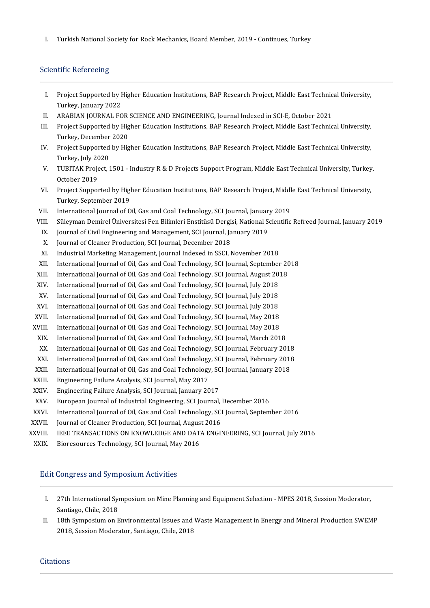I. Turkish National Society for Rock Mechanics, Board Member, 2019 - Continues, Turkey

## Scientific Refereeing

- cientific Refereeing<br>I. Project Supported by Higher Education Institutions, BAP Research Project, Middle East Technical University,<br>Turkey January 2022 **Project Supported by I**<br>Turkey, January 2022<br>ARAPIAN JOUPNAL FC I. Project Supported by Higher Education Institutions, BAP Research Project, Middle East Technic<br>Turkey, January 2022<br>II. ARABIAN JOURNAL FOR SCIENCE AND ENGINEERING, Journal Indexed in SCI-E, October 2021<br>II. Project Supp
- 
- Turkey, January 2022<br>II. ARABIAN JOURNAL FOR SCIENCE AND ENGINEERING, Journal Indexed in SCI-E, October 2021<br>III. Project Supported by Higher Education Institutions, BAP Research Project, Middle East Technical University,<br> ARABIAN JOURNAL FOR<br>Project Supported by Hig<br>Turkey, December 2020<br>Project Supported by Hig III. Project Supported by Higher Education Institutions, BAP Research Project, Middle East Technical University,<br>Turkey, December 2020<br>IV. Project Supported by Higher Education Institutions, BAP Research Project, Middle Ea
- Turkey, December 2020<br>Project Supported by Higher Education Institutions, BAP Research Project, Middle East Technical University,<br>Turkey, July 2020 V. Project Supported by Higher Education Institutions, BAP Research Project, Middle East Technical University,<br>Turkey, July 2020<br>V. TUBITAK Project, 1501 - Industry R & D Projects Support Program, Middle East Technical Uni
- Turkey, July 20<br>TUBITAK Proje<br>October 2019<br>Project Sunnor V. TUBITAK Project, 1501 - Industry R & D Projects Support Program, Middle East Technical University, Turkey<br>October 2019<br>VI. Project Supported by Higher Education Institutions, BAP Research Project, Middle East Technical
- October 2019<br>Project Supported by Higher Education Institutions, BAP Research Project, Middle East Technical University,<br>Turkey, September 2019 VI. Project Supported by Higher Education Institutions, BAP Research Project, Middl<br>Turkey, September 2019<br>VII. International Journal of Oil, Gas and Coal Technology, SCI Journal, January 2019<br>VII. Süleyman Dominal Ünivers VII. International Journal of Oil, Gas and Coal Technology, SCI Journal, January 2019<br>VII. Süleyman Demirel Üniversitesi Fen Bilimleri Enstitüsü Dergisi, National Scientific Refreed Journal, January 2019<br>IV. Journal of Giv
- III. International Journal of Oil, Gas and Coal Technology, SCI Journal, Januar<br>III. Süleyman Demirel Üniversitesi Fen Bilimleri Enstitüsü Dergisi, National S<br>IX. Journal of Civil Engineering and Management, SCI Journal, J
- II. Süleyman Demirel Üniversitesi Fen Bilimleri Enstitüsü Dergi:<br>X. Journal of Civil Engineering and Management, SCI Journal, Ja<br>X. Journal of Cleaner Production, SCI Journal, December 2018<br>Z. Jodustrial Marksting Manageme
- 
- 
- IX. Journal of Civil Engineering and Management, SCI Journal, January 2019<br>X. Journal of Cleaner Production, SCI Journal, December 2018<br>XI. Industrial Marketing Management, Journal Indexed in SSCI, November 2018<br>XII. Inter
- X. Journal of Cleaner Production, SCI Journal, December 2018<br>XI. Industrial Marketing Management, Journal Indexed in SSCI, November 2018<br>XII. International Journal of Oil, Gas and Coal Technology, SCI Journal, September 20 XI. Industrial Marketing Management, Journal Indexed in SSCI, November 2018<br>XII. International Journal of Oil, Gas and Coal Technology, SCI Journal, September 20<br>XIII. International Journal of Oil, Gas and Coal Technology,
- XII. International Journal of Oil, Gas and Coal Technology, SCI Journal, September<br>XIII. International Journal of Oil, Gas and Coal Technology, SCI Journal, August 20<br>XIV. International Journal of Oil, Gas and Coal Technol
- XIII. International Journal of Oil, Gas and Coal Technology, SCI Journal, August 2018<br>XIV. International Journal of Oil, Gas and Coal Technology, SCI Journal, July 2018<br>XV. International Journal of Oil, Gas and Coal Techno
- XIV. International Journal of Oil, Gas and Coal Technology, SCI Journal, July 2018<br>XV. International Journal of Oil, Gas and Coal Technology, SCI Journal, July 2018<br>XVI. International Journal of Oil, Gas and Coal Technolog
- XVI. International Journal of Oil, Gas and Coal Technology, SCI Journal, July 2018<br>XVII. International Journal of Oil, Gas and Coal Technology, SCI Journal, May 2018<br>XVIII. International Journal of Oil, Gas and Coal Techno
- XVII. International Journal of Oil, Gas and Coal Technology, SCI Journal, May 2018<br>XVIII. International Journal of Oil, Gas and Coal Technology, SCI Journal, May 2018
- 
- XVII. International Journal of Oil, Gas and Coal Technology, SCI Journal, May 2018<br>VIII. International Journal of Oil, Gas and Coal Technology, SCI Journal, May 2018<br>XIX. International Journal of Oil, Gas and Coal Technolo XII. International Journal of Oil, Gas and Coal Technology, SCI Journal, May 2018<br>XX. International Journal of Oil, Gas and Coal Technology, SCI Journal, March 2018<br>XX. International Journal of Oil, Gas and Coal Technology
- 
- XIX. International Journal of Oil, Gas and Coal Technology, SCI Journal, March 2018<br>XX. International Journal of Oil, Gas and Coal Technology, SCI Journal, February 2018<br>XXI. International Journal of Oil, Gas and Coal Tech XX. International Journal of Oil, Gas and Coal Technology, SCI Journal, February 2018<br>XXI. International Journal of Oil, Gas and Coal Technology, SCI Journal, February 2018<br>XXII. International Journal of Oil, Gas and Coal XXI. International Journal of Oil, Gas and Coal Technology<br>XXII. International Journal of Oil, Gas and Coal Technology<br>XXIII. Engineering Failure Analysis, SCI Journal, May 2017<br>XXIV. Engineering Failure Analysis, SCI Jour
- XXII. International Journal of Oil, Gas and Coal Technology, SCI Journal, January 2018<br>XXIII. Engineering Failure Analysis, SCI Journal, May 2017<br>XXIV. Engineering Failure Analysis, SCI Journal, January 2017<br>XXV. European
- 
- 
- XXV. European Journal of Industrial Engineering, SCI Journal, December 2016<br>XXVI. International Journal of Oil, Gas and Coal Technology, SCI Journal, Septen
- XXVI. International Journal of Oil, Gas and Coal Technology, SCI Journal, September 2016<br>XXVII. Journal of Cleaner Production, SCI Journal, August 2016 XXV. European Journal of Industrial Engineering, SCI Journal, .<br>XXVII. International Journal of Oil, Gas and Coal Technology, SCI<br>XXVIII. Journal of Cleaner Production, SCI Journal, August 2016
- 
- XXVIII. IEEE TRANSACTIONS ON KNOWLEDGE AND DATA ENGINEERING, SCI Journal, July 2016<br>XXIX. Bioresources Technology, SCI Journal, May 2016
- XVII. Journal of Cleaner Production, SCI Journal, Augus<br>XVIII. IEEE TRANSACTIONS ON KNOWLEDGE AND DAT.<br>XXIX. Bioresources Technology, SCI Journal, May 2016

# Edit Congress and Symposium Activities

- I. 27thInternationalSymposiumonMinePlanning andEquipmentSelection-MPES2018,SessionModerator, 27th International Syn<br>Santiago, Chile, 2018<br>19th Symposium op E I. 27th International Symposium on Mine Planning and Equipment Selection - MPES 2018, Session Moderator,<br>Santiago, Chile, 2018<br>II. 18th Symposium on Environmental Issues and Waste Management in Energy and Mineral Productio
- Santiago, Chile, 2018<br>18th Symposium on Environmental Issues and Waste Management in Energy and Mineral Production SWEMP<br>2018, Session Moderator, Santiago, Chile, 2018

#### **Citations**